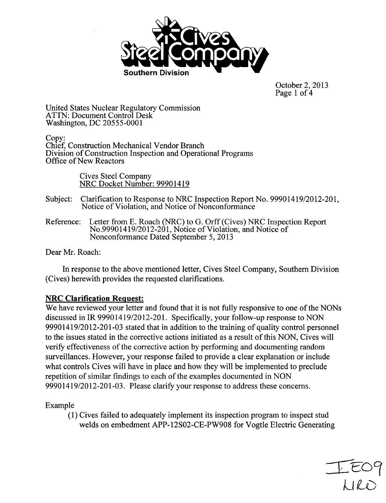

October 2, 2013 Page 1 of 4

United States Nuclear Regulatory Commission ATTN: Document Control Desk Washington, DC 20555-0001

Copy: Chief, Construction Mechanical Vendor Branch Division of Construction Inspection and Operational Programs Office of New Reactors

> Cives Steel Company NRC Docket Number: 99901419

- Subject: Clarification to Response to NRC Inspection Report No. 99901419/2012-201, Notice of Violation, and Notice of Nonconformance
- Reference: Letter from **E.** Roach (NRC) to G. Orff (Cives) NRC Inspection Report No.99901419/2012-201, Notice of Violation, and Notice of Nonconformance Dated September 5, 2013

Dear Mr. Roach:

In response to the above mentioned letter, Cives Steel Company, Southern Division (Cives) herewith provides the requested clarifications.

# NRC Clarification Request:

We have reviewed your letter and found that it is not fully responsive to one of the NONs discussed in IR 99901419/2012-201. Specifically, your follow-up response to NON 99901419/2012-201-03 stated that in addition to the training of quality control personnel to the issues stated in the corrective actions initiated as a result of this NON, Cives will verify effectiveness of the corrective action by performing and documenting random surveillances. However, your response failed to provide a clear explanation or include what controls Cives will have in place and how they will be implemented to preclude repetition of similar findings to each of the examples documented in NON 99901419/2012-201-03. Please clarify your response to address these concerns.

Example

(1) Cives failed to adequately implement its inspection program to inspect stud welds on embedment APP-12S02-CE-PW908 for Vogtle Electric Generating

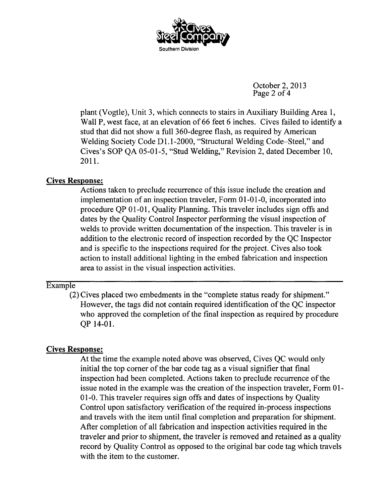

October 2, 2013 Page 2 of 4

plant (Vogtle), Unit 3, which connects to stairs in Auxiliary Building Area 1, Wall P, west face, at an elevation of 66 feet 6 inches. Cives failed to identify a stud that did not show a full 360-degree flash, as required by American Welding Society Code D1.1-2000, "Structural Welding Code-Steel," and Cives's SOP QA 05-01-5, "Stud Welding," Revision 2, dated December 10, 2011.

# Cives Response:

Actions taken to preclude recurrence of this issue include the creation and implementation of an inspection traveler, Form 01-01-0, incorporated into procedure QP 01-01, Quality Planning. This traveler includes sign offs and dates by the Quality Control Inspector performing the visual inspection of welds to provide written documentation of the inspection. This traveler is in addition to the electronic record of inspection recorded by the QC Inspector and is specific to the inspections required for the project. Cives also took action to install additional lighting in the embed fabrication and inspection area to assist in the visual inspection activities.

## Example

(2) Cives placed two embedments in the "complete status ready for shipment." However, the tags did not contain required identification of the QC inspector who approved the completion of the final inspection as required by procedure QP 14-01.

# Cives Response:

At the time the example noted above was observed, Cives QC would only initial the top corner of the bar code tag as a visual signifier that final inspection had been completed. Actions taken to preclude recurrence of the issue noted in the example was the creation of the inspection traveler, Form 01- **0** 1-0. This traveler requires sign offs and dates of inspections by Quality Control upon satisfactory verification of the required in-process inspections and travels with the item until final completion and preparation for shipment. After completion of all fabrication and inspection activities required in the traveler and prior to shipment, the traveler is removed and retained as a quality record by Quality Control as opposed to the original bar code tag which travels with the item to the customer.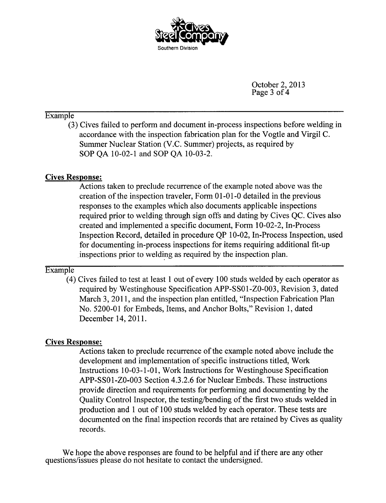

October 2, 2013 Page 3 of 4

## Example

(3) Cives failed to perform and document in-process inspections before welding in accordance with the inspection fabrication plan for the Vogtle and Virgil C. Summer Nuclear Station (V.C. Summer) projects, as required by SOP QA 10-02-1 and SOP QA 10-03-2.

# Cives Response:

Actions taken to preclude recurrence of the example noted above was the creation of the inspection traveler, Form 01-01-0 detailed in the previous responses to the examples which also documents applicable inspections required prior to welding through sign offs and dating by Cives QC. Cives also created and implemented a specific document, Form 10-02-2, In-Process Inspection Record, detailed in procedure QP 10-02, In-Process Inspection, used for documenting in-process inspections for items requiring additional fit-up .inspections prior to welding as required by the inspection plan.

# Example

(4) Cives failed to test at least 1 out of every 100 studs welded by each operator as required by Westinghouse Specification APP-SS0 I-ZO-003, Revision 3, dated March 3, 2011, and the inspection plan entitled, "Inspection Fabrication Plan No. 5200-01 for Embeds, Items, and Anchor Bolts," Revision 1, dated December 14, 2011.

# Cives Response:

Actions taken to preclude recurrence of the example noted above include the development and implementation of specific instructions titled, Work Instructions 10-03-1-01, Work Instructions for Westinghouse Specification APP-SS01-ZO-003 Section 4.3.2.6 for Nuclear Embeds. These instructions provide direction and requirements for performing and documenting by the Quality Control Inspector, the testing/bending of the first two studs welded in production and 1 out of 100 studs welded by each operator. These tests are documented on the final inspection records that are retained by Cives as quality records.

We hope the above responses are found to be helpful and if there are any other questions/issues please do not hesitate to contact the undersigned.